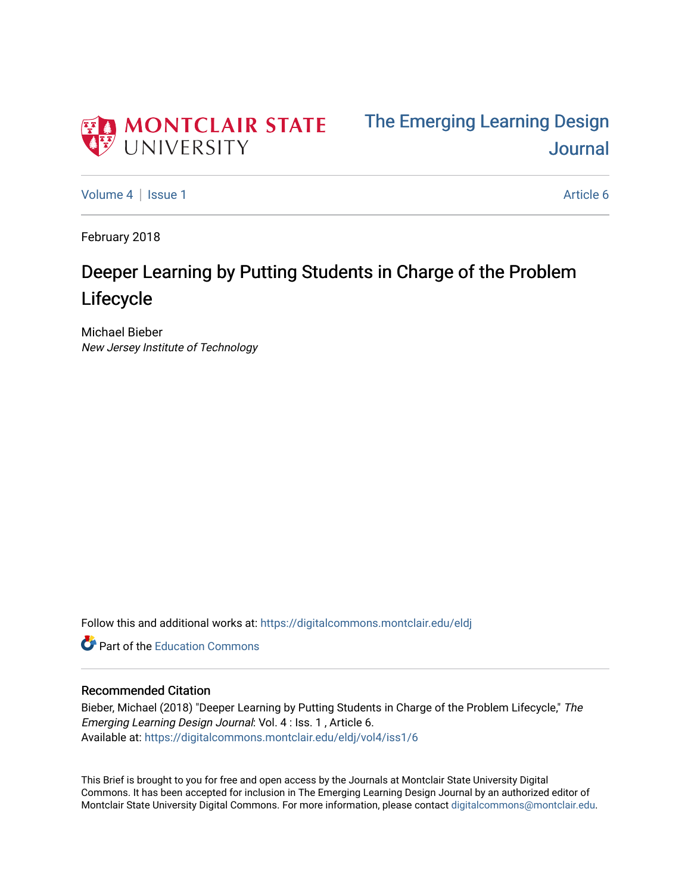

[Volume 4](https://digitalcommons.montclair.edu/eldj/vol4) | [Issue 1](https://digitalcommons.montclair.edu/eldj/vol4/iss1) Article 6

February 2018

## Deeper Learning by Putting Students in Charge of the Problem Lifecycle

Michael Bieber New Jersey Institute of Technology

Follow this and additional works at: [https://digitalcommons.montclair.edu/eldj](https://digitalcommons.montclair.edu/eldj?utm_source=digitalcommons.montclair.edu%2Feldj%2Fvol4%2Fiss1%2F6&utm_medium=PDF&utm_campaign=PDFCoverPages)

**C** Part of the [Education Commons](http://network.bepress.com/hgg/discipline/784?utm_source=digitalcommons.montclair.edu%2Feldj%2Fvol4%2Fiss1%2F6&utm_medium=PDF&utm_campaign=PDFCoverPages)

#### Recommended Citation

Bieber, Michael (2018) "Deeper Learning by Putting Students in Charge of the Problem Lifecycle," The Emerging Learning Design Journal: Vol. 4 : Iss. 1 , Article 6. Available at: [https://digitalcommons.montclair.edu/eldj/vol4/iss1/6](https://digitalcommons.montclair.edu/eldj/vol4/iss1/6?utm_source=digitalcommons.montclair.edu%2Feldj%2Fvol4%2Fiss1%2F6&utm_medium=PDF&utm_campaign=PDFCoverPages) 

This Brief is brought to you for free and open access by the Journals at Montclair State University Digital Commons. It has been accepted for inclusion in The Emerging Learning Design Journal by an authorized editor of Montclair State University Digital Commons. For more information, please contact [digitalcommons@montclair.edu.](mailto:digitalcommons@montclair.edu)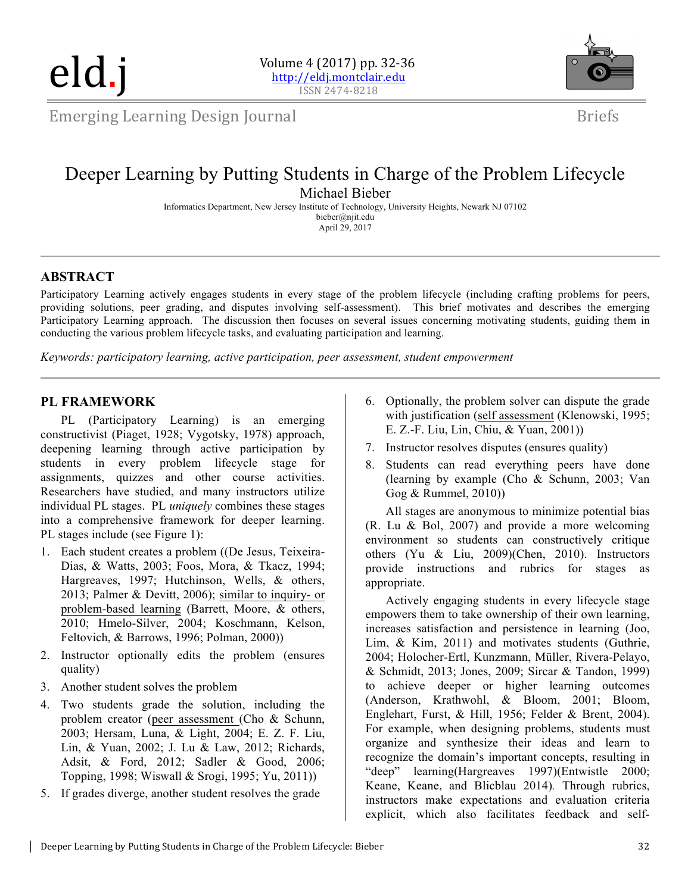eld.j



Emerging Learning Design Journal

## Briefs

### Deeper Learning by Putting Students in Charge of the Problem Lifecycle Michael Bieber

Informatics Department, New Jersey Institute of Technology, University Heights, Newark NJ 07102 bieber@njit.edu April 29, 2017

#### **ABSTRACT**

Participatory Learning actively engages students in every stage of the problem lifecycle (including crafting problems for peers, providing solutions, peer grading, and disputes involving self-assessment). This brief motivates and describes the emerging Participatory Learning approach. The discussion then focuses on several issues concerning motivating students, guiding them in conducting the various problem lifecycle tasks, and evaluating participation and learning.

*Keywords: participatory learning, active participation, peer assessment, student empowerment*

#### **PL FRAMEWORK**

PL (Participatory Learning) is an emerging constructivist (Piaget, 1928; Vygotsky, 1978) approach, deepening learning through active participation by students in every problem lifecycle stage for assignments, quizzes and other course activities. Researchers have studied, and many instructors utilize individual PL stages. PL *uniquely* combines these stages into a comprehensive framework for deeper learning. PL stages include (see Figure 1):

- 1. Each student creates a problem ((De Jesus, Teixeira-Dias, & Watts, 2003; Foos, Mora, & Tkacz, 1994; Hargreaves, 1997; Hutchinson, Wells, & others, 2013; Palmer & Devitt, 2006); similar to inquiry- or problem-based learning (Barrett, Moore, & others, 2010; Hmelo-Silver, 2004; Koschmann, Kelson, Feltovich, & Barrows, 1996; Polman, 2000))
- 2. Instructor optionally edits the problem (ensures quality)
- 3. Another student solves the problem
- 4. Two students grade the solution, including the problem creator (peer assessment (Cho & Schunn, 2003; Hersam, Luna, & Light, 2004; E. Z. F. Liu, Lin, & Yuan, 2002; J. Lu & Law, 2012; Richards, Adsit, & Ford, 2012; Sadler & Good, 2006; Topping, 1998; Wiswall & Srogi, 1995; Yu, 2011))
- 5. If grades diverge, another student resolves the grade
- 6. Optionally, the problem solver can dispute the grade with justification (self assessment (Klenowski, 1995; E. Z.-F. Liu, Lin, Chiu, & Yuan, 2001))
- 7. Instructor resolves disputes (ensures quality)
- 8. Students can read everything peers have done (learning by example (Cho & Schunn, 2003; Van Gog & Rummel, 2010))

All stages are anonymous to minimize potential bias (R. Lu & Bol, 2007) and provide a more welcoming environment so students can constructively critique others (Yu & Liu, 2009)(Chen, 2010). Instructors provide instructions and rubrics for stages as appropriate.

Actively engaging students in every lifecycle stage empowers them to take ownership of their own learning, increases satisfaction and persistence in learning (Joo, Lim, & Kim, 2011) and motivates students (Guthrie, 2004; Holocher-Ertl, Kunzmann, Müller, Rivera-Pelayo, & Schmidt, 2013; Jones, 2009; Sircar & Tandon, 1999) to achieve deeper or higher learning outcomes (Anderson, Krathwohl, & Bloom, 2001; Bloom, Englehart, Furst, & Hill, 1956; Felder & Brent, 2004). For example, when designing problems, students must organize and synthesize their ideas and learn to recognize the domain's important concepts, resulting in "deep" learning(Hargreaves 1997)(Entwistle 2000; Keane, Keane, and Blicblau 2014)*.* Through rubrics, instructors make expectations and evaluation criteria explicit, which also facilitates feedback and self-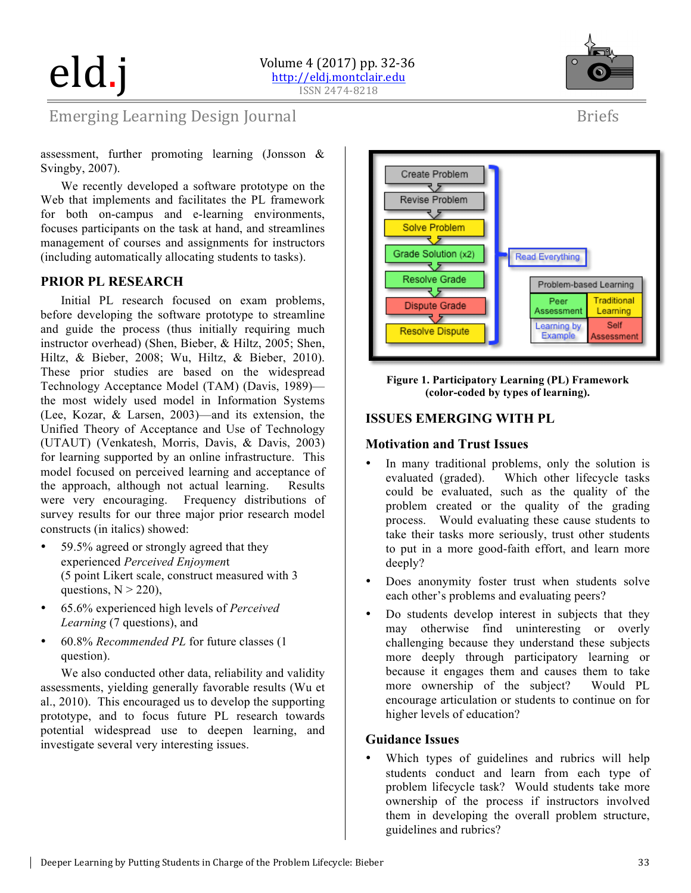

Briefs

## Emerging Learning Design Journal

assessment, further promoting learning (Jonsson & Svingby, 2007).

We recently developed a software prototype on the Web that implements and facilitates the PL framework for both on-campus and e-learning environments, focuses participants on the task at hand, and streamlines management of courses and assignments for instructors (including automatically allocating students to tasks).

#### **PRIOR PL RESEARCH**

Initial PL research focused on exam problems, before developing the software prototype to streamline and guide the process (thus initially requiring much instructor overhead) (Shen, Bieber, & Hiltz, 2005; Shen, Hiltz, & Bieber, 2008; Wu, Hiltz, & Bieber, 2010). These prior studies are based on the widespread Technology Acceptance Model (TAM) (Davis, 1989) the most widely used model in Information Systems (Lee, Kozar, & Larsen, 2003)—and its extension, the Unified Theory of Acceptance and Use of Technology (UTAUT) (Venkatesh, Morris, Davis, & Davis, 2003) for learning supported by an online infrastructure. This model focused on perceived learning and acceptance of the approach, although not actual learning. Results were very encouraging. Frequency distributions of survey results for our three major prior research model constructs (in italics) showed:

- 59.5% agreed or strongly agreed that they experienced *Perceived Enjoymen*t (5 point Likert scale, construct measured with 3 questions,  $N > 220$ ),
- 65.6% experienced high levels of *Perceived Learning* (7 questions), and
- 60.8% *Recommended PL* for future classes (1 question).

We also conducted other data, reliability and validity assessments, yielding generally favorable results (Wu et al., 2010). This encouraged us to develop the supporting prototype, and to focus future PL research towards potential widespread use to deepen learning, and investigate several very interesting issues.



**Figure 1. Participatory Learning (PL) Framework (color-coded by types of learning).**

#### **ISSUES EMERGING WITH PL**

#### **Motivation and Trust Issues**

- In many traditional problems, only the solution is evaluated (graded). Which other lifecycle tasks could be evaluated, such as the quality of the problem created or the quality of the grading process. Would evaluating these cause students to take their tasks more seriously, trust other students to put in a more good-faith effort, and learn more deeply?
- Does anonymity foster trust when students solve each other's problems and evaluating peers?
- Do students develop interest in subjects that they may otherwise find uninteresting or overly challenging because they understand these subjects more deeply through participatory learning or because it engages them and causes them to take more ownership of the subject? Would PL encourage articulation or students to continue on for higher levels of education?

#### **Guidance Issues**

Which types of guidelines and rubrics will help students conduct and learn from each type of problem lifecycle task? Would students take more ownership of the process if instructors involved them in developing the overall problem structure, guidelines and rubrics?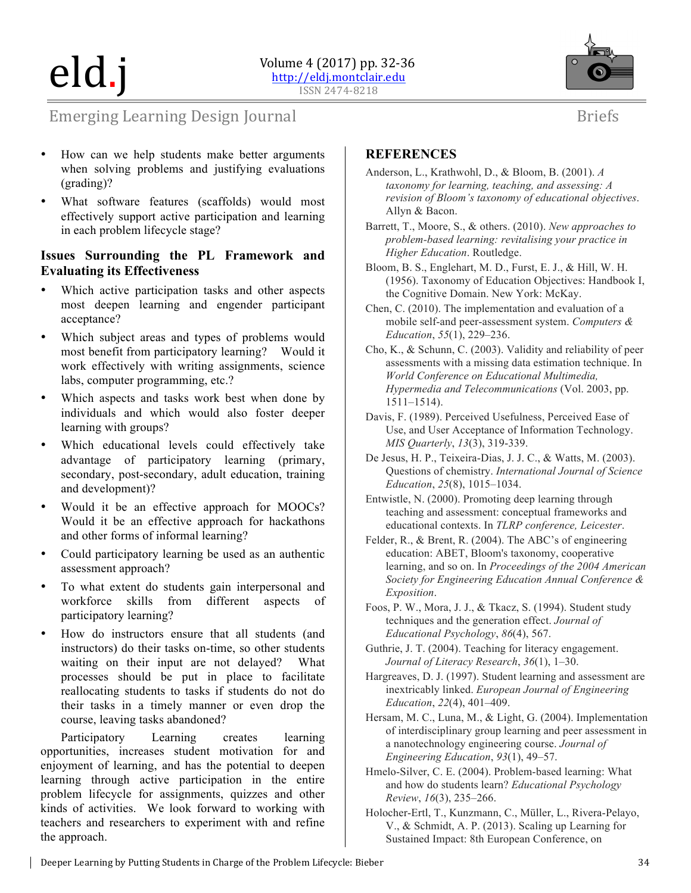# eld.j



Briefs

### **Emerging Learning Design Journal**

- How can we help students make better arguments when solving problems and justifying evaluations (grading)?
- What software features (scaffolds) would most effectively support active participation and learning in each problem lifecycle stage?

#### **Issues Surrounding the PL Framework and Evaluating its Effectiveness**

- Which active participation tasks and other aspects most deepen learning and engender participant acceptance?
- Which subject areas and types of problems would most benefit from participatory learning? Would it work effectively with writing assignments, science labs, computer programming, etc.?
- Which aspects and tasks work best when done by individuals and which would also foster deeper learning with groups?
- Which educational levels could effectively take advantage of participatory learning (primary, secondary, post-secondary, adult education, training and development)?
- Would it be an effective approach for MOOCs? Would it be an effective approach for hackathons and other forms of informal learning?
- Could participatory learning be used as an authentic assessment approach?
- To what extent do students gain interpersonal and workforce skills from different aspects of participatory learning?
- How do instructors ensure that all students (and instructors) do their tasks on-time, so other students waiting on their input are not delayed? What processes should be put in place to facilitate reallocating students to tasks if students do not do their tasks in a timely manner or even drop the course, leaving tasks abandoned?

Participatory Learning creates learning opportunities, increases student motivation for and enjoyment of learning, and has the potential to deepen learning through active participation in the entire problem lifecycle for assignments, quizzes and other kinds of activities. We look forward to working with teachers and researchers to experiment with and refine the approach.

#### **REFERENCES**

- Anderson, L., Krathwohl, D., & Bloom, B. (2001). *A taxonomy for learning, teaching, and assessing: A revision of Bloom's taxonomy of educational objectives*. Allyn & Bacon.
- Barrett, T., Moore, S., & others. (2010). *New approaches to problem-based learning: revitalising your practice in Higher Education*. Routledge.
- Bloom, B. S., Englehart, M. D., Furst, E. J., & Hill, W. H. (1956). Taxonomy of Education Objectives: Handbook I, the Cognitive Domain. New York: McKay.
- Chen, C. (2010). The implementation and evaluation of a mobile self-and peer-assessment system. *Computers & Education*, *55*(1), 229–236.
- Cho, K., & Schunn, C. (2003). Validity and reliability of peer assessments with a missing data estimation technique. In *World Conference on Educational Multimedia, Hypermedia and Telecommunications* (Vol. 2003, pp. 1511–1514).
- Davis, F. (1989). Perceived Usefulness, Perceived Ease of Use, and User Acceptance of Information Technology. *MIS Quarterly*, *13*(3), 319-339.
- De Jesus, H. P., Teixeira-Dias, J. J. C., & Watts, M. (2003). Questions of chemistry. *International Journal of Science Education*, *25*(8), 1015–1034.
- Entwistle, N. (2000). Promoting deep learning through teaching and assessment: conceptual frameworks and educational contexts. In *TLRP conference, Leicester*.
- Felder, R., & Brent, R. (2004). The ABC's of engineering education: ABET, Bloom's taxonomy, cooperative learning, and so on. In *Proceedings of the 2004 American Society for Engineering Education Annual Conference & Exposition*.
- Foos, P. W., Mora, J. J., & Tkacz, S. (1994). Student study techniques and the generation effect. *Journal of Educational Psychology*, *86*(4), 567.
- Guthrie, J. T. (2004). Teaching for literacy engagement. *Journal of Literacy Research*, *36*(1), 1–30.
- Hargreaves, D. J. (1997). Student learning and assessment are inextricably linked. *European Journal of Engineering Education*, *22*(4), 401–409.
- Hersam, M. C., Luna, M., & Light, G. (2004). Implementation of interdisciplinary group learning and peer assessment in a nanotechnology engineering course. *Journal of Engineering Education*, *93*(1), 49–57.
- Hmelo-Silver, C. E. (2004). Problem-based learning: What and how do students learn? *Educational Psychology Review*, *16*(3), 235–266.
- Holocher-Ertl, T., Kunzmann, C., Müller, L., Rivera-Pelayo, V., & Schmidt, A. P. (2013). Scaling up Learning for Sustained Impact: 8th European Conference, on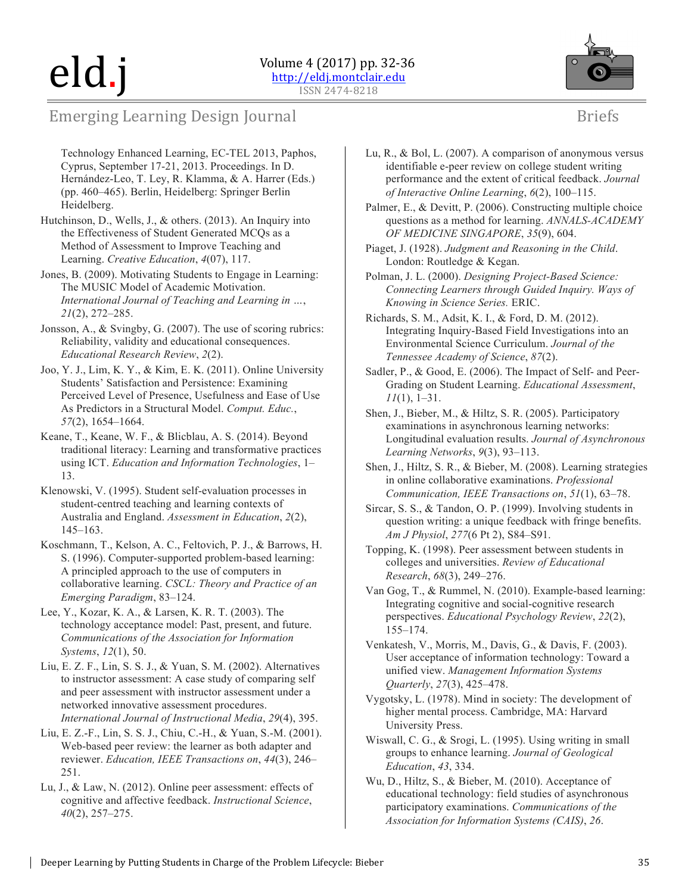

## Emerging Learning Design Journal

- Technology Enhanced Learning, EC-TEL 2013, Paphos, Cyprus, September 17-21, 2013. Proceedings. In D. Hernández-Leo, T. Ley, R. Klamma, & A. Harrer (Eds.) (pp. 460–465). Berlin, Heidelberg: Springer Berlin Heidelberg.
- Hutchinson, D., Wells, J., & others. (2013). An Inquiry into the Effectiveness of Student Generated MCQs as a Method of Assessment to Improve Teaching and Learning. *Creative Education*, *4*(07), 117.
- Jones, B. (2009). Motivating Students to Engage in Learning: The MUSIC Model of Academic Motivation. *International Journal of Teaching and Learning in …*, *21*(2), 272–285.
- Jonsson, A., & Svingby, G. (2007). The use of scoring rubrics: Reliability, validity and educational consequences. *Educational Research Review*, *2*(2).
- Joo, Y. J., Lim, K. Y., & Kim, E. K. (2011). Online University Students' Satisfaction and Persistence: Examining Perceived Level of Presence, Usefulness and Ease of Use As Predictors in a Structural Model. *Comput. Educ.*, *57*(2), 1654–1664.
- Keane, T., Keane, W. F., & Blicblau, A. S. (2014). Beyond traditional literacy: Learning and transformative practices using ICT. *Education and Information Technologies*, 1– 13.
- Klenowski, V. (1995). Student self-evaluation processes in student-centred teaching and learning contexts of Australia and England. *Assessment in Education*, *2*(2), 145–163.
- Koschmann, T., Kelson, A. C., Feltovich, P. J., & Barrows, H. S. (1996). Computer-supported problem-based learning: A principled approach to the use of computers in collaborative learning. *CSCL: Theory and Practice of an Emerging Paradigm*, 83–124.
- Lee, Y., Kozar, K. A., & Larsen, K. R. T. (2003). The technology acceptance model: Past, present, and future. *Communications of the Association for Information Systems*, *12*(1), 50.
- Liu, E. Z. F., Lin, S. S. J., & Yuan, S. M. (2002). Alternatives to instructor assessment: A case study of comparing self and peer assessment with instructor assessment under a networked innovative assessment procedures. *International Journal of Instructional Media*, *29*(4), 395.
- Liu, E. Z.-F., Lin, S. S. J., Chiu, C.-H., & Yuan, S.-M. (2001). Web-based peer review: the learner as both adapter and reviewer. *Education, IEEE Transactions on*, *44*(3), 246– 251.
- Lu, J., & Law, N. (2012). Online peer assessment: effects of cognitive and affective feedback. *Instructional Science*, *40*(2), 257–275.
- Lu, R., & Bol, L. (2007). A comparison of anonymous versus identifiable e-peer review on college student writing performance and the extent of critical feedback. *Journal of Interactive Online Learning*, *6*(2), 100–115.
- Palmer, E., & Devitt, P. (2006). Constructing multiple choice questions as a method for learning. *ANNALS-ACADEMY OF MEDICINE SINGAPORE*, *35*(9), 604.
- Piaget, J. (1928). *Judgment and Reasoning in the Child*. London: Routledge & Kegan.
- Polman, J. L. (2000). *Designing Project-Based Science: Connecting Learners through Guided Inquiry. Ways of Knowing in Science Series.* ERIC.
- Richards, S. M., Adsit, K. I., & Ford, D. M. (2012). Integrating Inquiry-Based Field Investigations into an Environmental Science Curriculum. *Journal of the Tennessee Academy of Science*, *87*(2).
- Sadler, P., & Good, E. (2006). The Impact of Self- and Peer-Grading on Student Learning. *Educational Assessment*, *11*(1), 1–31.
- Shen, J., Bieber, M., & Hiltz, S. R. (2005). Participatory examinations in asynchronous learning networks: Longitudinal evaluation results. *Journal of Asynchronous Learning Networks*, *9*(3), 93–113.
- Shen, J., Hiltz, S. R., & Bieber, M. (2008). Learning strategies in online collaborative examinations. *Professional Communication, IEEE Transactions on*, *51*(1), 63–78.
- Sircar, S. S., & Tandon, O. P. (1999). Involving students in question writing: a unique feedback with fringe benefits. *Am J Physiol*, *277*(6 Pt 2), S84–S91.
- Topping, K. (1998). Peer assessment between students in colleges and universities. *Review of Educational Research*, *68*(3), 249–276.
- Van Gog, T., & Rummel, N. (2010). Example-based learning: Integrating cognitive and social-cognitive research perspectives. *Educational Psychology Review*, *22*(2), 155–174.
- Venkatesh, V., Morris, M., Davis, G., & Davis, F. (2003). User acceptance of information technology: Toward a unified view. *Management Information Systems Quarterly*, *27*(3), 425–478.
- Vygotsky, L. (1978). Mind in society: The development of higher mental process. Cambridge, MA: Harvard University Press.
- Wiswall, C. G., & Srogi, L. (1995). Using writing in small groups to enhance learning. *Journal of Geological Education*, *43*, 334.
- Wu, D., Hiltz, S., & Bieber, M. (2010). Acceptance of educational technology: field studies of asynchronous participatory examinations. *Communications of the Association for Information Systems (CAIS)*, *26*.